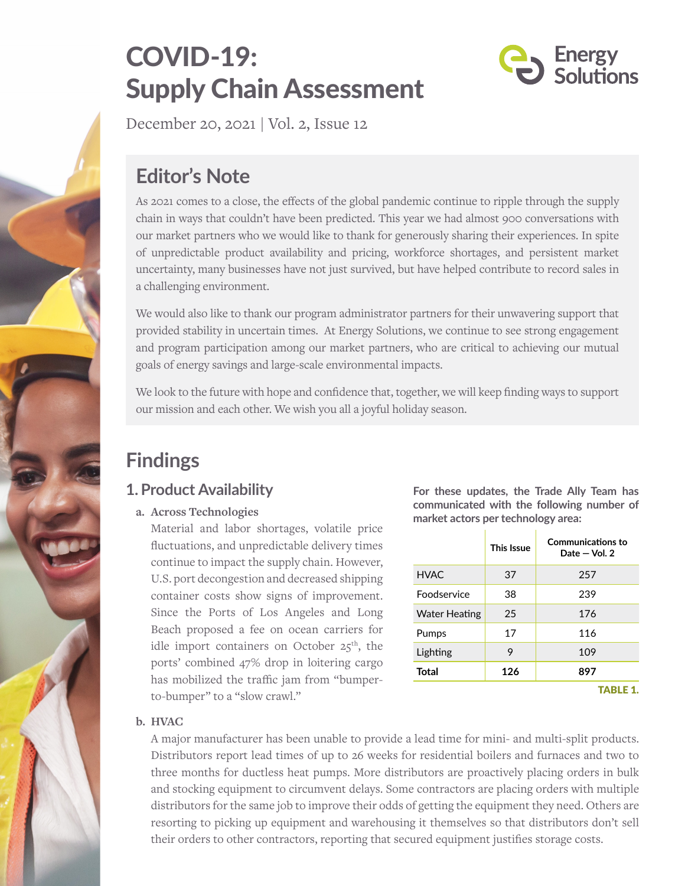# COVID-19: Supply Chain Assessment



December 20, 2021 | Vol. 2, Issue 12

## **Editor's Note**

As 2021 comes to a close, the effects of the global pandemic continue to ripple through the supply chain in ways that couldn't have been predicted. This year we had almost 900 conversations with our market partners who we would like to thank for generously sharing their experiences. In spite of unpredictable product availability and pricing, workforce shortages, and persistent market uncertainty, many businesses have not just survived, but have helped contribute to record sales in a challenging environment.

We would also like to thank our program administrator partners for their unwavering support that provided stability in uncertain times. At Energy Solutions, we continue to see strong engagement and program participation among our market partners, who are critical to achieving our mutual goals of energy savings and large-scale environmental impacts.

We look to the future with hope and confidence that, together, we will keep finding ways to support our mission and each other. We wish you all a joyful holiday season.

## **Findings**

## **1. Product Availability**

#### **a. Across Technologies**

Material and labor shortages, volatile price fluctuations, and unpredictable delivery times continue to impact the supply chain. However, U.S. port decongestion and decreased shipping container costs show signs of improvement. Since the Ports of Los Angeles and Long Beach proposed a fee on ocean carriers for idle import containers on October  $25<sup>th</sup>$ , the ports' combined 47% drop in loitering cargo has mobilized the traffic jam from "bumperto-bumper" to a "slow crawl."

**For these updates, the Trade Ally Team has communicated with the following number of market actors per technology area:**

|                      | <b>This Issue</b> | <b>Communications to</b><br>Date $-$ Vol. 2 |
|----------------------|-------------------|---------------------------------------------|
| HVAC.                | 37                | 257                                         |
| Foodservice          | 38                | 239                                         |
| <b>Water Heating</b> | 25                | 176                                         |
| Pumps                | 17                | 116                                         |
| Lighting             | 9                 | 109                                         |
| <b>Total</b>         | 126               | 897                                         |
|                      |                   | <b>TABLE 1.</b>                             |

#### **b. HVAC**

A major manufacturer has been unable to provide a lead time for mini- and multi-split products. Distributors report lead times of up to 26 weeks for residential boilers and furnaces and two to three months for ductless heat pumps. More distributors are proactively placing orders in bulk and stocking equipment to circumvent delays. Some contractors are placing orders with multiple distributors for the same job to improve their odds of getting the equipment they need. Others are resorting to picking up equipment and warehousing it themselves so that distributors don't sell their orders to other contractors, reporting that secured equipment justifies storage costs.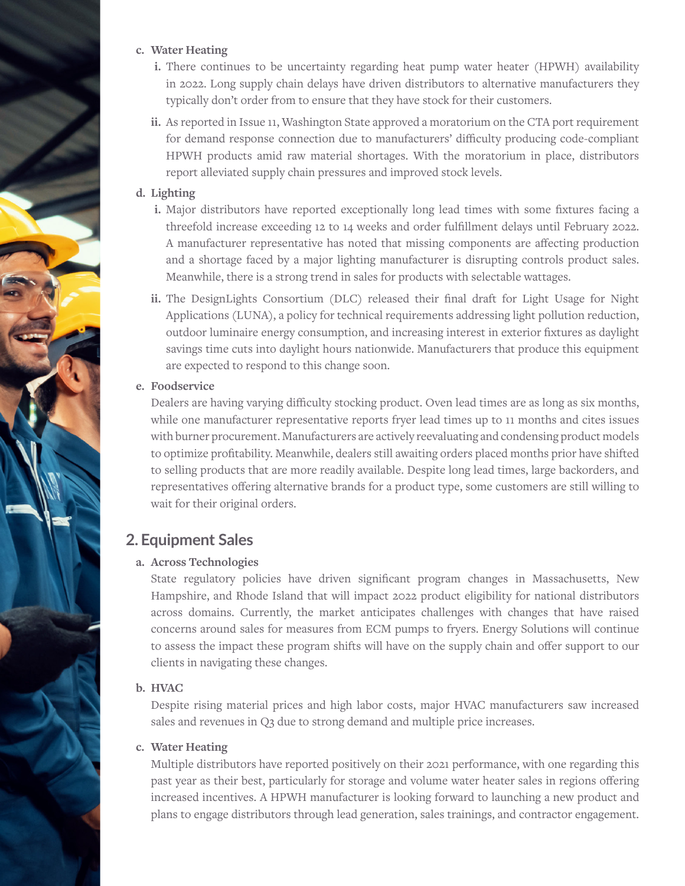#### **c. Water Heating**

- **i.** There continues to be uncertainty regarding heat pump water heater (HPWH) availability in 2022. Long supply chain delays have driven distributors to alternative manufacturers they typically don't order from to ensure that they have stock for their customers.
- **ii.** As reported in Issue 11, Washington State approved a moratorium on the CTA port requirement for demand response connection due to manufacturers' difficulty producing code-compliant HPWH products amid raw material shortages. With the moratorium in place, distributors report alleviated supply chain pressures and improved stock levels.

#### **d. Lighting**

- **i.** Major distributors have reported exceptionally long lead times with some fixtures facing a threefold increase exceeding 12 to 14 weeks and order fulfillment delays until February 2022. A manufacturer representative has noted that missing components are affecting production and a shortage faced by a major lighting manufacturer is disrupting controls product sales. Meanwhile, there is a strong trend in sales for products with selectable wattages.
- **ii.** The DesignLights Consortium (DLC) released their final draft for Light Usage for Night Applications (LUNA), a policy for technical requirements addressing light pollution reduction, outdoor luminaire energy consumption, and increasing interest in exterior fixtures as daylight savings time cuts into daylight hours nationwide. Manufacturers that produce this equipment are expected to respond to this change soon.

#### **e. Foodservice**

Dealers are having varying difficulty stocking product. Oven lead times are as long as six months, while one manufacturer representative reports fryer lead times up to 11 months and cites issues with burner procurement. Manufacturers are actively reevaluating and condensing product models to optimize profitability. Meanwhile, dealers still awaiting orders placed months prior have shifted to selling products that are more readily available. Despite long lead times, large backorders, and representatives offering alternative brands for a product type, some customers are still willing to wait for their original orders.

### **2. Equipment Sales**

#### **a. Across Technologies**

State regulatory policies have driven significant program changes in Massachusetts, New Hampshire, and Rhode Island that will impact 2022 product eligibility for national distributors across domains. Currently, the market anticipates challenges with changes that have raised concerns around sales for measures from ECM pumps to fryers. Energy Solutions will continue to assess the impact these program shifts will have on the supply chain and offer support to our clients in navigating these changes.

#### **b. HVAC**

Despite rising material prices and high labor costs, major HVAC manufacturers saw increased sales and revenues in Q3 due to strong demand and multiple price increases.

#### **c. Water Heating**

Multiple distributors have reported positively on their 2021 performance, with one regarding this past year as their best, particularly for storage and volume water heater sales in regions offering increased incentives. A HPWH manufacturer is looking forward to launching a new product and plans to engage distributors through lead generation, sales trainings, and contractor engagement.